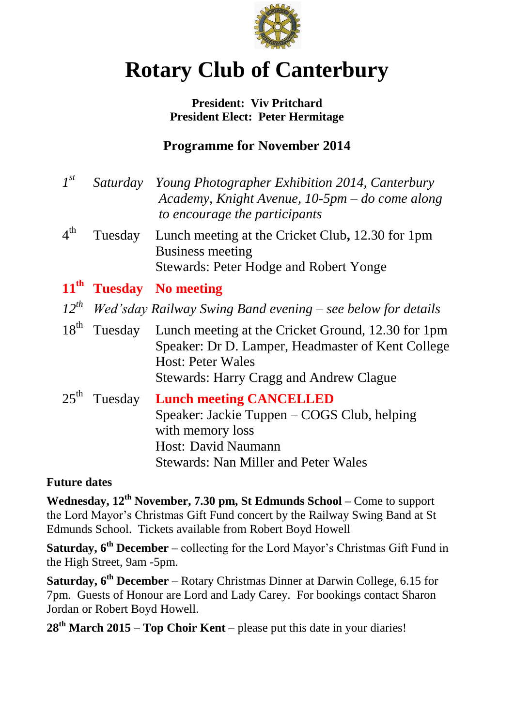

# **Rotary Club of Canterbury**

## **President: Viv Pritchard President Elect: Peter Hermitage**

# **Programme for November 2014**

| $I^{st}$         |         | Saturday Young Photographer Exhibition 2014, Canterbury<br>Academy, Knight Avenue, 10-5pm – do come along<br>to encourage the participants                                            |
|------------------|---------|---------------------------------------------------------------------------------------------------------------------------------------------------------------------------------------|
| $4^{\text{th}}$  | Tuesday | Lunch meeting at the Cricket Club, 12.30 for 1pm<br><b>Business meeting</b><br><b>Stewards: Peter Hodge and Robert Yonge</b>                                                          |
|                  |         | 11 <sup>th</sup> Tuesday No meeting                                                                                                                                                   |
|                  |         | $12^{th}$ Wed'sday Railway Swing Band evening – see below for details                                                                                                                 |
| $18^{th}$        | Tuesday | Lunch meeting at the Cricket Ground, 12.30 for 1pm<br>Speaker: Dr D. Lamper, Headmaster of Kent College<br><b>Host: Peter Wales</b><br><b>Stewards: Harry Cragg and Andrew Clague</b> |
| 25 <sup>th</sup> | Tuesday | <b>Lunch meeting CANCELLED</b><br>Speaker: Jackie Tuppen – COGS Club, helping<br>with memory loss<br>Host: David Naumann<br><b>Stewards: Nan Miller and Peter Wales</b>               |

# **Future dates**

**Wednesday, 12th November, 7.30 pm, St Edmunds School –** Come to support the Lord Mayor's Christmas Gift Fund concert by the Railway Swing Band at St Edmunds School. Tickets available from Robert Boyd Howell

**Saturday, 6th December –** collecting for the Lord Mayor's Christmas Gift Fund in the High Street, 9am -5pm.

**Saturday, 6th December –** Rotary Christmas Dinner at Darwin College, 6.15 for 7pm. Guests of Honour are Lord and Lady Carey. For bookings contact Sharon Jordan or Robert Boyd Howell.

**28th March 2015 – Top Choir Kent –** please put this date in your diaries!